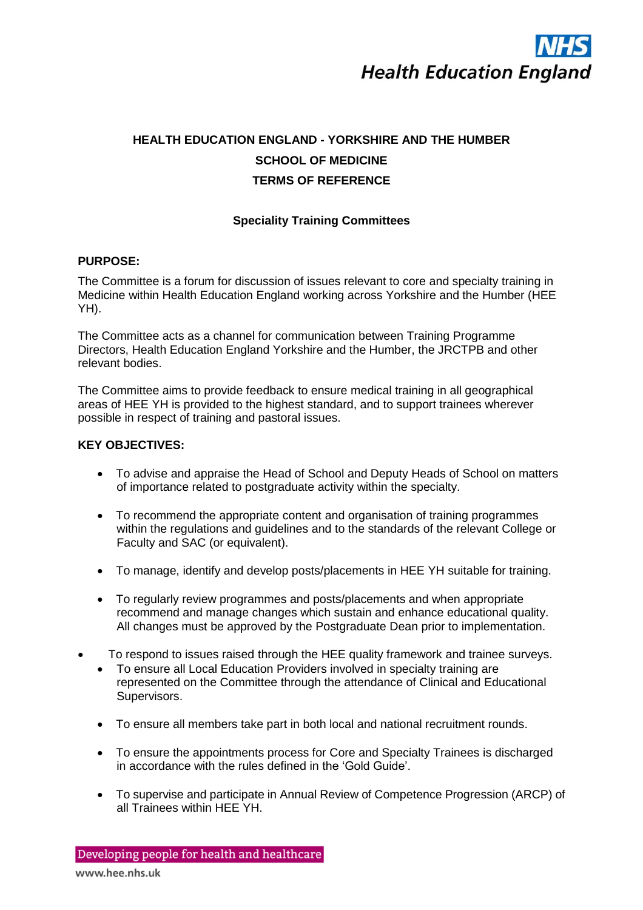

# **HEALTH EDUCATION ENGLAND - YORKSHIRE AND THE HUMBER SCHOOL OF MEDICINE TERMS OF REFERENCE**

# **Speciality Training Committees**

# **PURPOSE:**

The Committee is a forum for discussion of issues relevant to core and specialty training in Medicine within Health Education England working across Yorkshire and the Humber (HEE YH).

The Committee acts as a channel for communication between Training Programme Directors, Health Education England Yorkshire and the Humber, the JRCTPB and other relevant bodies.

The Committee aims to provide feedback to ensure medical training in all geographical areas of HEE YH is provided to the highest standard, and to support trainees wherever possible in respect of training and pastoral issues.

# **KEY OBJECTIVES:**

- To advise and appraise the Head of School and Deputy Heads of School on matters of importance related to postgraduate activity within the specialty.
- To recommend the appropriate content and organisation of training programmes within the regulations and guidelines and to the standards of the relevant College or Faculty and SAC (or equivalent).
- To manage, identify and develop posts/placements in HEE YH suitable for training.
- To regularly review programmes and posts/placements and when appropriate recommend and manage changes which sustain and enhance educational quality. All changes must be approved by the Postgraduate Dean prior to implementation.
- To respond to issues raised through the HEE quality framework and trainee surveys.
	- To ensure all Local Education Providers involved in specialty training are represented on the Committee through the attendance of Clinical and Educational Supervisors.
	- To ensure all members take part in both local and national recruitment rounds.
	- To ensure the appointments process for Core and Specialty Trainees is discharged in accordance with the rules defined in the 'Gold Guide'.
	- To supervise and participate in Annual Review of Competence Progression (ARCP) of all Trainees within HEE YH.